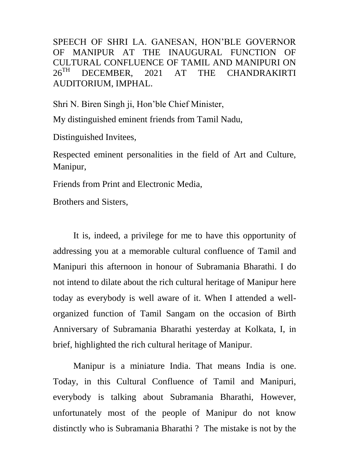SPEECH OF SHRI LA. GANESAN, HON'BLE GOVERNOR OF MANIPUR AT THE INAUGURAL FUNCTION OF CULTURAL CONFLUENCE OF TAMIL AND MANIPURI ON<br>26<sup>TH</sup> DECEMBER 2021 AT THE CHANDRAKIRTI DECEMBER, 2021 AT THE CHANDRAKIRTI AUDITORIUM, IMPHAL.

Shri N. Biren Singh ji, Hon'ble Chief Minister,

My distinguished eminent friends from Tamil Nadu,

Distinguished Invitees,

Respected eminent personalities in the field of Art and Culture, Manipur,

Friends from Print and Electronic Media,

Brothers and Sisters,

It is, indeed, a privilege for me to have this opportunity of addressing you at a memorable cultural confluence of Tamil and Manipuri this afternoon in honour of Subramania Bharathi. I do not intend to dilate about the rich cultural heritage of Manipur here today as everybody is well aware of it. When I attended a wellorganized function of Tamil Sangam on the occasion of Birth Anniversary of Subramania Bharathi yesterday at Kolkata, I, in brief, highlighted the rich cultural heritage of Manipur.

 Manipur is a miniature India. That means India is one. Today, in this Cultural Confluence of Tamil and Manipuri, everybody is talking about Subramania Bharathi, However, unfortunately most of the people of Manipur do not know distinctly who is Subramania Bharathi ? The mistake is not by the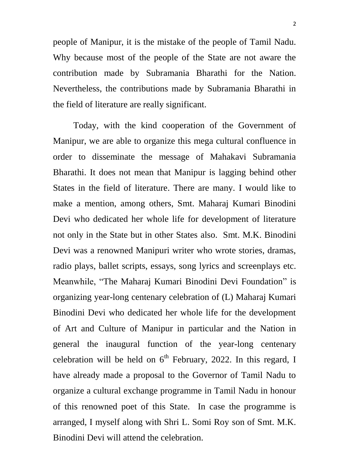people of Manipur, it is the mistake of the people of Tamil Nadu. Why because most of the people of the State are not aware the contribution made by Subramania Bharathi for the Nation. Nevertheless, the contributions made by Subramania Bharathi in the field of literature are really significant.

 Today, with the kind cooperation of the Government of Manipur, we are able to organize this mega cultural confluence in order to disseminate the message of Mahakavi Subramania Bharathi. It does not mean that Manipur is lagging behind other States in the field of literature. There are many. I would like to make a mention, among others, Smt. Maharaj Kumari Binodini Devi who dedicated her whole life for development of literature not only in the State but in other States also. Smt. M.K. Binodini Devi was a renowned Manipuri writer who wrote stories, dramas, radio plays, ballet scripts, essays, song lyrics and screenplays etc. Meanwhile, "The Maharaj Kumari Binodini Devi Foundation" is organizing year-long centenary celebration of (L) Maharaj Kumari Binodini Devi who dedicated her whole life for the development of Art and Culture of Manipur in particular and the Nation in general the inaugural function of the year-long centenary celebration will be held on  $6<sup>th</sup>$  February, 2022. In this regard, I have already made a proposal to the Governor of Tamil Nadu to organize a cultural exchange programme in Tamil Nadu in honour of this renowned poet of this State. In case the programme is arranged, I myself along with Shri L. Somi Roy son of Smt. M.K. Binodini Devi will attend the celebration.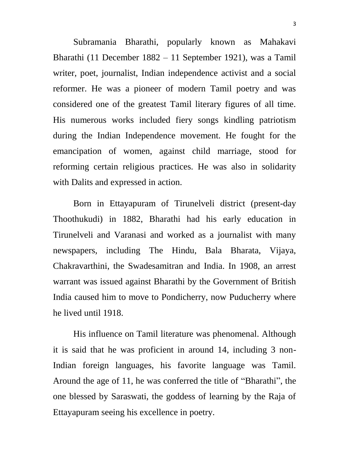Subramania Bharathi, popularly known as Mahakavi Bharathi (11 December 1882 – 11 September 1921), was a Tamil writer, poet, journalist, Indian independence activist and a social reformer. He was a pioneer of modern Tamil poetry and was considered one of the greatest Tamil literary figures of all time. His numerous works included fiery songs kindling patriotism during the Indian Independence movement. He fought for the emancipation of women, against child marriage, stood for reforming certain religious practices. He was also in solidarity with Dalits and expressed in action.

Born in Ettayapuram of Tirunelveli district (present-day Thoothukudi) in 1882, Bharathi had his early education in Tirunelveli and Varanasi and worked as a journalist with many newspapers, including The Hindu, Bala Bharata, Vijaya, Chakravarthini, the Swadesamitran and India. In 1908, an arrest warrant was issued against Bharathi by the Government of British India caused him to move to Pondicherry, now Puducherry where he lived until 1918.

His influence on Tamil literature was phenomenal. Although it is said that he was proficient in around 14, including 3 non-Indian foreign languages, his favorite language was Tamil. Around the age of 11, he was conferred the title of "Bharathi", the one blessed by Saraswati, the goddess of learning by the Raja of Ettayapuram seeing his excellence in poetry.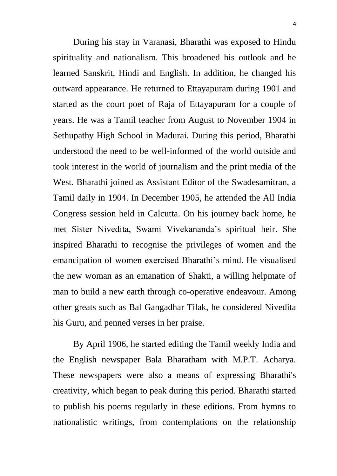During his stay in Varanasi, Bharathi was exposed to Hindu spirituality and nationalism. This broadened his outlook and he learned Sanskrit, Hindi and English. In addition, he changed his outward appearance. He returned to Ettayapuram during 1901 and started as the court poet of Raja of Ettayapuram for a couple of years. He was a Tamil teacher from August to November 1904 in Sethupathy High School in Madurai. During this period, Bharathi understood the need to be well-informed of the world outside and took interest in the world of journalism and the print media of the West. Bharathi joined as Assistant Editor of the Swadesamitran, a Tamil daily in 1904. In December 1905, he attended the All India Congress session held in Calcutta. On his journey back home, he met Sister Nivedita, Swami Vivekananda's spiritual heir. She inspired Bharathi to recognise the privileges of women and the emancipation of women exercised Bharathi's mind. He visualised the new woman as an emanation of Shakti, a willing helpmate of man to build a new earth through co-operative endeavour. Among other greats such as Bal Gangadhar Tilak, he considered Nivedita his Guru, and penned verses in her praise.

 By April 1906, he started editing the Tamil weekly India and the English newspaper Bala Bharatham with M.P.T. Acharya. These newspapers were also a means of expressing Bharathi's creativity, which began to peak during this period. Bharathi started to publish his poems regularly in these editions. From hymns to nationalistic writings, from contemplations on the relationship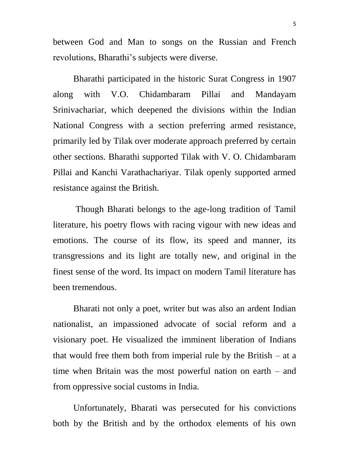between God and Man to songs on the Russian and French revolutions, Bharathi's subjects were diverse.

Bharathi participated in the historic Surat Congress in 1907 along with V.O. Chidambaram Pillai and Mandayam Srinivachariar, which deepened the divisions within the Indian National Congress with a section preferring armed resistance, primarily led by Tilak over moderate approach preferred by certain other sections. Bharathi supported Tilak with V. O. Chidambaram Pillai and Kanchi Varathachariyar. Tilak openly supported armed resistance against the British.

Though Bharati belongs to the age-long tradition of Tamil literature, his poetry flows with racing vigour with new ideas and emotions. The course of its flow, its speed and manner, its transgressions and its light are totally new, and original in the finest sense of the word. Its impact on modern Tamil literature has been tremendous.

Bharati not only a poet, writer but was also an ardent Indian nationalist, an impassioned advocate of social reform and a visionary poet. He visualized the imminent liberation of Indians that would free them both from imperial rule by the British – at a time when Britain was the most powerful nation on earth – and from oppressive social customs in India.

Unfortunately, Bharati was persecuted for his convictions both by the British and by the orthodox elements of his own